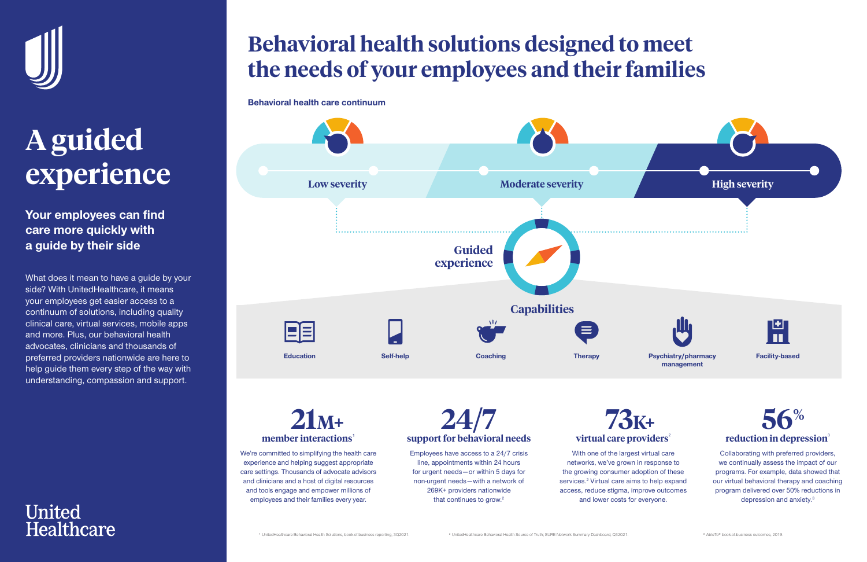

# **A guided experience**

Collaborating with preferred providers, we continually assess the impact of our programs. For example, data showed that our virtual behavioral therapy and coaching program delivered over 50% reductions in depression and anxiety.<sup>3</sup>

**Your employees can find care more quickly with a guide by their side**

> **M21M<sup>+</sup> member interactions**

#### **K73K<sup>+</sup> virtual care providers<sup>2</sup>**

With one of the largest virtual care networks, we've grown in response to the growing consumer adoption of these services.<sup>2</sup> Virtual care aims to help expand access, reduce stigma, improve outcomes and lower costs for everyone.

Employees have access to a 24/7 crisis line, appointments within 24 hours for urgent needs—or within 5 days for non-urgent needs—with a network of 269K+ providers nationwide that continues to grow. $2$ 

**24/7 support for behavioral needs**



We're committed to simplifying the health care experience and helping suggest appropriate care settings. Thousands of advocate advisors and clinicians and a host of digital resources and tools engage and empower millions of employees and their families every year.

### **Behavioral health solutions designed to meet the needs of your employees and their families**

What does it mean to have a guide by your side? With UnitedHealthcare, it means your employees get easier access to a continuum of solutions, including quality clinical care, virtual services, mobile apps and more. Plus, our behavioral health advocates, clinicians and thousands of preferred providers nationwide are here to help guide them every step of the way with understanding, compassion and support.

#### **United Healthcare**





**Behavioral health care continuum**